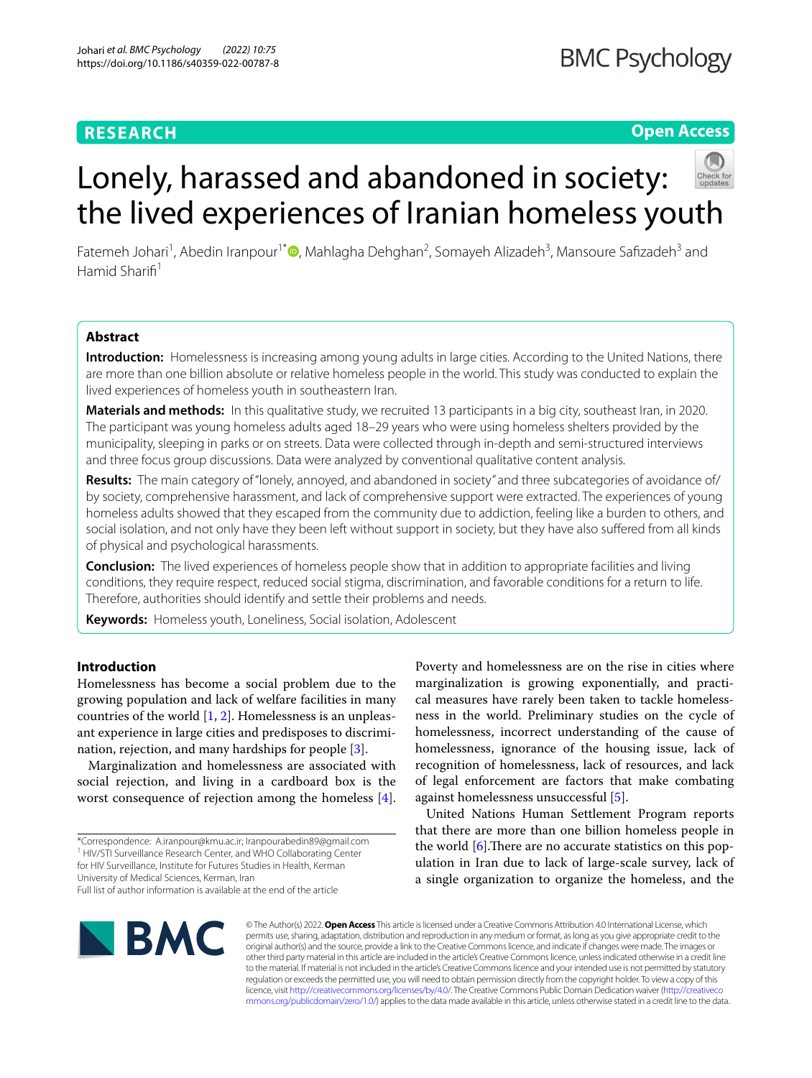# **RESEARCH**

# **Open Access**

Fatemeh Johari<sup>1</sup>, Abedin Iranpour<sup>1[\\*](http://orcid.org/0000-0002-7746-5709)</sup> (D, Mahlagha Dehghan<sup>2</sup>, Somayeh Alizadeh<sup>3</sup>, Mansoure Safizadeh<sup>3</sup> and Hamid Sharifi<sup>1</sup>

the lived experiences of Iranian homeless youth

Lonely, harassed and abandoned in society:

# **Abstract**

**Introduction:** Homelessness is increasing among young adults in large cities. According to the United Nations, there are more than one billion absolute or relative homeless people in the world. This study was conducted to explain the lived experiences of homeless youth in southeastern Iran.

**Materials and methods:** In this qualitative study, we recruited 13 participants in a big city, southeast Iran, in 2020. The participant was young homeless adults aged 18–29 years who were using homeless shelters provided by the municipality, sleeping in parks or on streets. Data were collected through in-depth and semi-structured interviews and three focus group discussions. Data were analyzed by conventional qualitative content analysis.

**Results:** The main category of "lonely, annoyed, and abandoned in society" and three subcategories of avoidance of/ by society, comprehensive harassment, and lack of comprehensive support were extracted. The experiences of young homeless adults showed that they escaped from the community due to addiction, feeling like a burden to others, and social isolation, and not only have they been left without support in society, but they have also sufered from all kinds of physical and psychological harassments.

**Conclusion:** The lived experiences of homeless people show that in addition to appropriate facilities and living conditions, they require respect, reduced social stigma, discrimination, and favorable conditions for a return to life. Therefore, authorities should identify and settle their problems and needs.

**Keywords:** Homeless youth, Loneliness, Social isolation, Adolescent

# **Introduction**

Homelessness has become a social problem due to the growing population and lack of welfare facilities in many countries of the world [\[1](#page-7-0), [2\]](#page-7-1). Homelessness is an unpleasant experience in large cities and predisposes to discrimination, rejection, and many hardships for people [[3\]](#page-7-2).

Marginalization and homelessness are associated with social rejection, and living in a cardboard box is the worst consequence of rejection among the homeless [\[4](#page-7-3)].

Poverty and homelessness are on the rise in cities where marginalization is growing exponentially, and practical measures have rarely been taken to tackle homelessness in the world. Preliminary studies on the cycle of homelessness, incorrect understanding of the cause of homelessness, ignorance of the housing issue, lack of recognition of homelessness, lack of resources, and lack of legal enforcement are factors that make combating against homelessness unsuccessful [[5\]](#page-7-4).

United Nations Human Settlement Program reports that there are more than one billion homeless people in the world  $[6]$  $[6]$ . There are no accurate statistics on this population in Iran due to lack of large-scale survey, lack of a single organization to organize the homeless, and the



© The Author(s) 2022. **Open Access** This article is licensed under a Creative Commons Attribution 4.0 International License, which permits use, sharing, adaptation, distribution and reproduction in any medium or format, as long as you give appropriate credit to the original author(s) and the source, provide a link to the Creative Commons licence, and indicate if changes were made. The images or other third party material in this article are included in the article's Creative Commons licence, unless indicated otherwise in a credit line to the material. If material is not included in the article's Creative Commons licence and your intended use is not permitted by statutory regulation or exceeds the permitted use, you will need to obtain permission directly from the copyright holder. To view a copy of this licence, visit [http://creativecommons.org/licenses/by/4.0/.](http://creativecommons.org/licenses/by/4.0/) The Creative Commons Public Domain Dedication waiver ([http://creativeco](http://creativecommons.org/publicdomain/zero/1.0/) [mmons.org/publicdomain/zero/1.0/](http://creativecommons.org/publicdomain/zero/1.0/)) applies to the data made available in this article, unless otherwise stated in a credit line to the data.

<sup>\*</sup>Correspondence: A.iranpour@kmu.ac.ir; Iranpourabedin89@gmail.com <sup>1</sup> HIV/STI Surveillance Research Center, and WHO Collaborating Center for HIV Surveillance, Institute for Futures Studies in Health, Kerman University of Medical Sciences, Kerman, Iran Full list of author information is available at the end of the article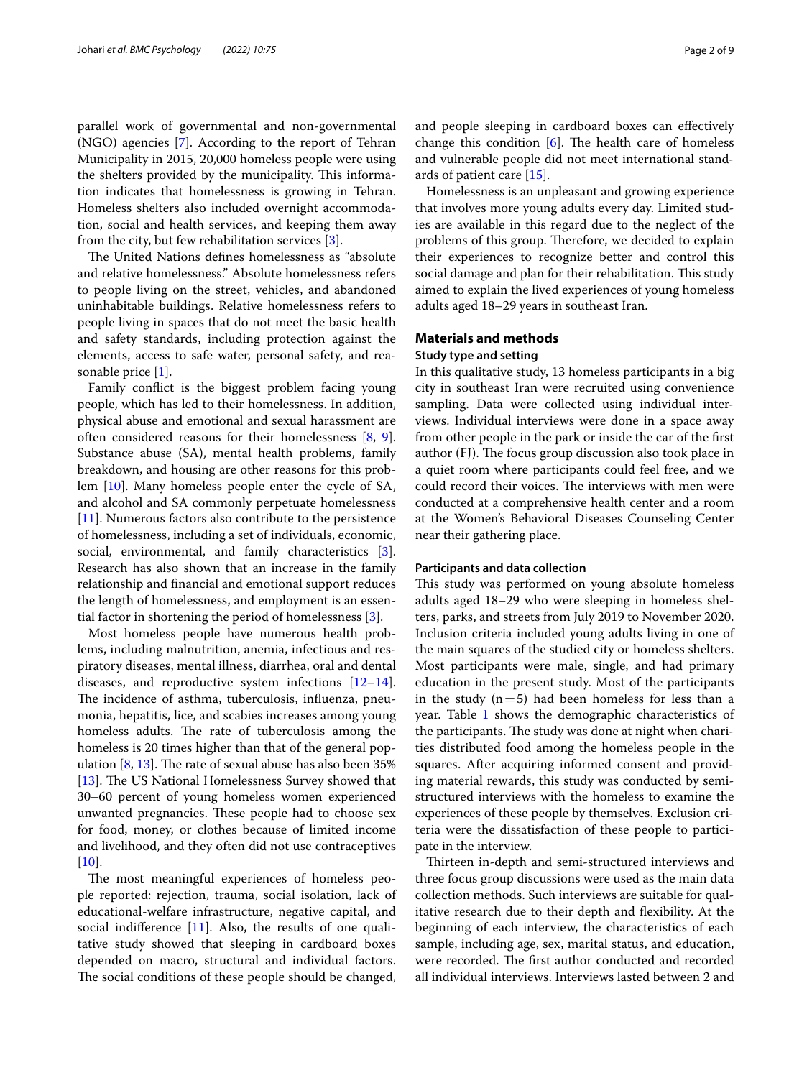parallel work of governmental and non-governmental (NGO) agencies [\[7\]](#page-7-6). According to the report of Tehran Municipality in 2015, 20,000 homeless people were using the shelters provided by the municipality. This information indicates that homelessness is growing in Tehran. Homeless shelters also included overnight accommodation, social and health services, and keeping them away from the city, but few rehabilitation services [\[3](#page-7-2)].

The United Nations defines homelessness as "absolute" and relative homelessness." Absolute homelessness refers to people living on the street, vehicles, and abandoned uninhabitable buildings. Relative homelessness refers to people living in spaces that do not meet the basic health and safety standards, including protection against the elements, access to safe water, personal safety, and reasonable price [\[1\]](#page-7-0).

Family confict is the biggest problem facing young people, which has led to their homelessness. In addition, physical abuse and emotional and sexual harassment are often considered reasons for their homelessness [[8,](#page-7-7) [9](#page-7-8)]. Substance abuse (SA), mental health problems, family breakdown, and housing are other reasons for this problem [[10\]](#page-7-9). Many homeless people enter the cycle of SA, and alcohol and SA commonly perpetuate homelessness [[11\]](#page-7-10). Numerous factors also contribute to the persistence of homelessness, including a set of individuals, economic, social, environmental, and family characteristics [\[3](#page-7-2)]. Research has also shown that an increase in the family relationship and fnancial and emotional support reduces the length of homelessness, and employment is an essential factor in shortening the period of homelessness [[3\]](#page-7-2).

Most homeless people have numerous health problems, including malnutrition, anemia, infectious and respiratory diseases, mental illness, diarrhea, oral and dental diseases, and reproductive system infections [[12](#page-7-11)[–14](#page-7-12)]. The incidence of asthma, tuberculosis, influenza, pneumonia, hepatitis, lice, and scabies increases among young homeless adults. The rate of tuberculosis among the homeless is 20 times higher than that of the general population  $[8, 13]$  $[8, 13]$  $[8, 13]$  $[8, 13]$ . The rate of sexual abuse has also been 35% [[13\]](#page-7-13). The US National Homelessness Survey showed that 30–60 percent of young homeless women experienced unwanted pregnancies. These people had to choose sex for food, money, or clothes because of limited income and livelihood, and they often did not use contraceptives  $[10]$  $[10]$ .

The most meaningful experiences of homeless people reported: rejection, trauma, social isolation, lack of educational-welfare infrastructure, negative capital, and social indiference [[11](#page-7-10)]. Also, the results of one qualitative study showed that sleeping in cardboard boxes depended on macro, structural and individual factors. The social conditions of these people should be changed, and people sleeping in cardboard boxes can efectively change this condition  $[6]$  $[6]$ . The health care of homeless and vulnerable people did not meet international standards of patient care [\[15](#page-8-0)].

Homelessness is an unpleasant and growing experience that involves more young adults every day. Limited studies are available in this regard due to the neglect of the problems of this group. Therefore, we decided to explain their experiences to recognize better and control this social damage and plan for their rehabilitation. This study aimed to explain the lived experiences of young homeless adults aged 18–29 years in southeast Iran.

# **Materials and methods**

## **Study type and setting**

In this qualitative study, 13 homeless participants in a big city in southeast Iran were recruited using convenience sampling. Data were collected using individual interviews. Individual interviews were done in a space away from other people in the park or inside the car of the frst author (FJ). The focus group discussion also took place in a quiet room where participants could feel free, and we could record their voices. The interviews with men were conducted at a comprehensive health center and a room at the Women's Behavioral Diseases Counseling Center near their gathering place.

#### **Participants and data collection**

This study was performed on young absolute homeless adults aged 18–29 who were sleeping in homeless shelters, parks, and streets from July 2019 to November 2020. Inclusion criteria included young adults living in one of the main squares of the studied city or homeless shelters. Most participants were male, single, and had primary education in the present study. Most of the participants in the study  $(n=5)$  had been homeless for less than a year. Table [1](#page-2-0) shows the demographic characteristics of the participants. The study was done at night when charities distributed food among the homeless people in the squares. After acquiring informed consent and providing material rewards, this study was conducted by semistructured interviews with the homeless to examine the experiences of these people by themselves. Exclusion criteria were the dissatisfaction of these people to participate in the interview.

Thirteen in-depth and semi-structured interviews and three focus group discussions were used as the main data collection methods. Such interviews are suitable for qualitative research due to their depth and fexibility. At the beginning of each interview, the characteristics of each sample, including age, sex, marital status, and education, were recorded. The first author conducted and recorded all individual interviews. Interviews lasted between 2 and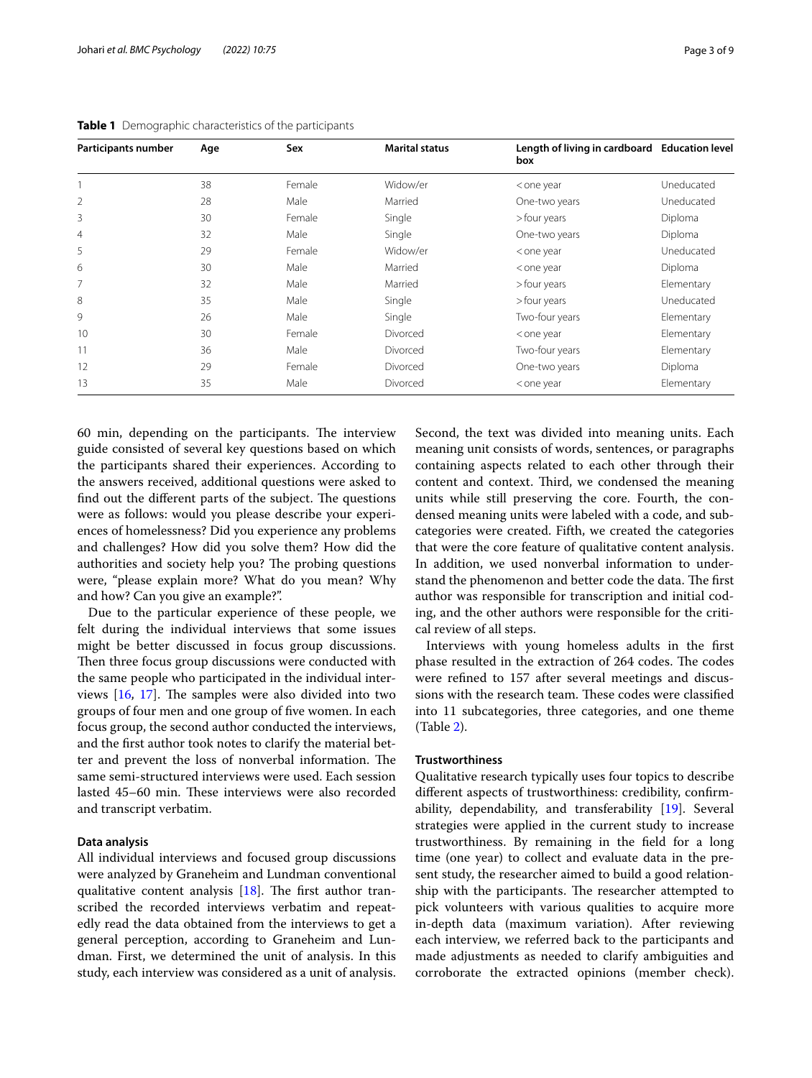| Participants number | Age | Sex    | <b>Marital status</b> | Length of living in cardboard Education level<br>box |            |
|---------------------|-----|--------|-----------------------|------------------------------------------------------|------------|
|                     | 38  | Female | Widow/er              | <one td="" year<=""><td>Uneducated</td></one>        | Uneducated |
| $\overline{2}$      | 28  | Male   | Married               | One-two years                                        | Uneducated |
| 3                   | 30  | Female | Single                | >four years                                          | Diploma    |
| $\overline{4}$      | 32  | Male   | Single                | One-two years                                        | Diploma    |
| 5                   | 29  | Female | Widow/er              | <one td="" year<=""><td>Uneducated</td></one>        | Uneducated |
| 6                   | 30  | Male   | Married               | <one td="" year<=""><td>Diploma</td></one>           | Diploma    |
| 7                   | 32  | Male   | Married               | >four years                                          | Elementary |
| 8                   | 35  | Male   | Single                | >four years                                          | Uneducated |
| 9                   | 26  | Male   | Single                | Two-four years                                       | Elementary |
| 10                  | 30  | Female | Divorced              | <one td="" year<=""><td>Elementary</td></one>        | Elementary |
| 11                  | 36  | Male   | Divorced              | Two-four years                                       | Elementary |
| 12                  | 29  | Female | Divorced              | One-two years                                        | Diploma    |
| 13                  | 35  | Male   | Divorced              | <one td="" year<=""><td>Elementary</td></one>        | Elementary |

<span id="page-2-0"></span>**Table 1** Demographic characteristics of the participants

60 min, depending on the participants. The interview guide consisted of several key questions based on which the participants shared their experiences. According to the answers received, additional questions were asked to find out the different parts of the subject. The questions were as follows: would you please describe your experiences of homelessness? Did you experience any problems and challenges? How did you solve them? How did the authorities and society help you? The probing questions were, "please explain more? What do you mean? Why and how? Can you give an example?".

Due to the particular experience of these people, we felt during the individual interviews that some issues might be better discussed in focus group discussions. Then three focus group discussions were conducted with the same people who participated in the individual interviews  $[16, 17]$  $[16, 17]$  $[16, 17]$  $[16, 17]$ . The samples were also divided into two groups of four men and one group of fve women. In each focus group, the second author conducted the interviews, and the frst author took notes to clarify the material better and prevent the loss of nonverbal information. The same semi-structured interviews were used. Each session lasted 45–60 min. These interviews were also recorded and transcript verbatim.

## **Data analysis**

All individual interviews and focused group discussions were analyzed by Graneheim and Lundman conventional qualitative content analysis  $[18]$  $[18]$  $[18]$ . The first author transcribed the recorded interviews verbatim and repeatedly read the data obtained from the interviews to get a general perception, according to Graneheim and Lundman. First, we determined the unit of analysis. In this study, each interview was considered as a unit of analysis. Second, the text was divided into meaning units. Each meaning unit consists of words, sentences, or paragraphs containing aspects related to each other through their content and context. Third, we condensed the meaning units while still preserving the core. Fourth, the condensed meaning units were labeled with a code, and subcategories were created. Fifth, we created the categories that were the core feature of qualitative content analysis. In addition, we used nonverbal information to understand the phenomenon and better code the data. The first author was responsible for transcription and initial coding, and the other authors were responsible for the critical review of all steps.

Interviews with young homeless adults in the frst phase resulted in the extraction of 264 codes. The codes were refned to 157 after several meetings and discussions with the research team. These codes were classified into 11 subcategories, three categories, and one theme (Table [2\)](#page-3-0).

## **Trustworthiness**

Qualitative research typically uses four topics to describe diferent aspects of trustworthiness: credibility, confrmability, dependability, and transferability [[19\]](#page-8-4). Several strategies were applied in the current study to increase trustworthiness. By remaining in the feld for a long time (one year) to collect and evaluate data in the present study, the researcher aimed to build a good relationship with the participants. The researcher attempted to pick volunteers with various qualities to acquire more in-depth data (maximum variation). After reviewing each interview, we referred back to the participants and made adjustments as needed to clarify ambiguities and corroborate the extracted opinions (member check).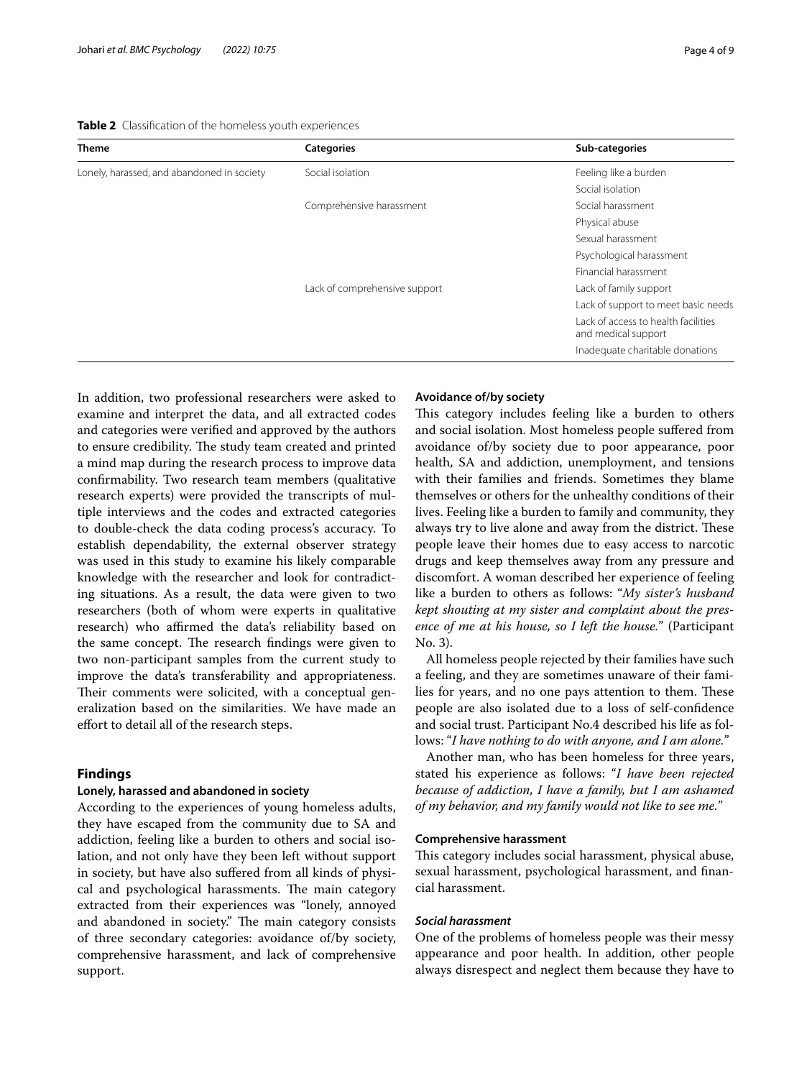<span id="page-3-0"></span>**Table 2** Classifcation of the homeless youth experiences

| Theme                                      | <b>Categories</b>             | Sub-categories                                             |
|--------------------------------------------|-------------------------------|------------------------------------------------------------|
| Lonely, harassed, and abandoned in society | Social isolation              | Feeling like a burden                                      |
|                                            |                               | Social isolation                                           |
|                                            | Comprehensive harassment      | Social harassment                                          |
|                                            |                               | Physical abuse                                             |
|                                            |                               | Sexual harassment                                          |
|                                            |                               | Psychological harassment                                   |
|                                            |                               | Financial harassment                                       |
|                                            | Lack of comprehensive support | Lack of family support                                     |
|                                            |                               | Lack of support to meet basic needs                        |
|                                            |                               | Lack of access to health facilities<br>and medical support |
|                                            |                               | Inadequate charitable donations                            |
|                                            |                               |                                                            |

In addition, two professional researchers were asked to examine and interpret the data, and all extracted codes and categories were verifed and approved by the authors to ensure credibility. The study team created and printed a mind map during the research process to improve data confrmability. Two research team members (qualitative research experts) were provided the transcripts of multiple interviews and the codes and extracted categories to double-check the data coding process's accuracy. To establish dependability, the external observer strategy was used in this study to examine his likely comparable knowledge with the researcher and look for contradicting situations. As a result, the data were given to two researchers (both of whom were experts in qualitative research) who affirmed the data's reliability based on the same concept. The research findings were given to two non-participant samples from the current study to improve the data's transferability and appropriateness. Their comments were solicited, with a conceptual generalization based on the similarities. We have made an efort to detail all of the research steps.

# **Findings**

# **Lonely, harassed and abandoned in society**

According to the experiences of young homeless adults, they have escaped from the community due to SA and addiction, feeling like a burden to others and social isolation, and not only have they been left without support in society, but have also sufered from all kinds of physical and psychological harassments. The main category extracted from their experiences was "lonely, annoyed and abandoned in society." The main category consists of three secondary categories: avoidance of/by society, comprehensive harassment, and lack of comprehensive support.

## **Avoidance of/by society**

This category includes feeling like a burden to others and social isolation. Most homeless people sufered from avoidance of/by society due to poor appearance, poor health, SA and addiction, unemployment, and tensions with their families and friends. Sometimes they blame themselves or others for the unhealthy conditions of their lives. Feeling like a burden to family and community, they always try to live alone and away from the district. These people leave their homes due to easy access to narcotic drugs and keep themselves away from any pressure and discomfort. A woman described her experience of feeling like a burden to others as follows: "*My sister's husband kept shouting at my sister and complaint about the presence of me at his house, so I left the house.*" (Participant No. 3).

All homeless people rejected by their families have such a feeling, and they are sometimes unaware of their families for years, and no one pays attention to them. These people are also isolated due to a loss of self-confdence and social trust. Participant No.4 described his life as follows: "*I have nothing to do with anyone, and I am alone.*"

Another man, who has been homeless for three years, stated his experience as follows: "*I have been rejected because of addiction, I have a family, but I am ashamed of my behavior, and my family would not like to see me.*"

## **Comprehensive harassment**

This category includes social harassment, physical abuse, sexual harassment, psychological harassment, and fnancial harassment.

## *Social harassment*

One of the problems of homeless people was their messy appearance and poor health. In addition, other people always disrespect and neglect them because they have to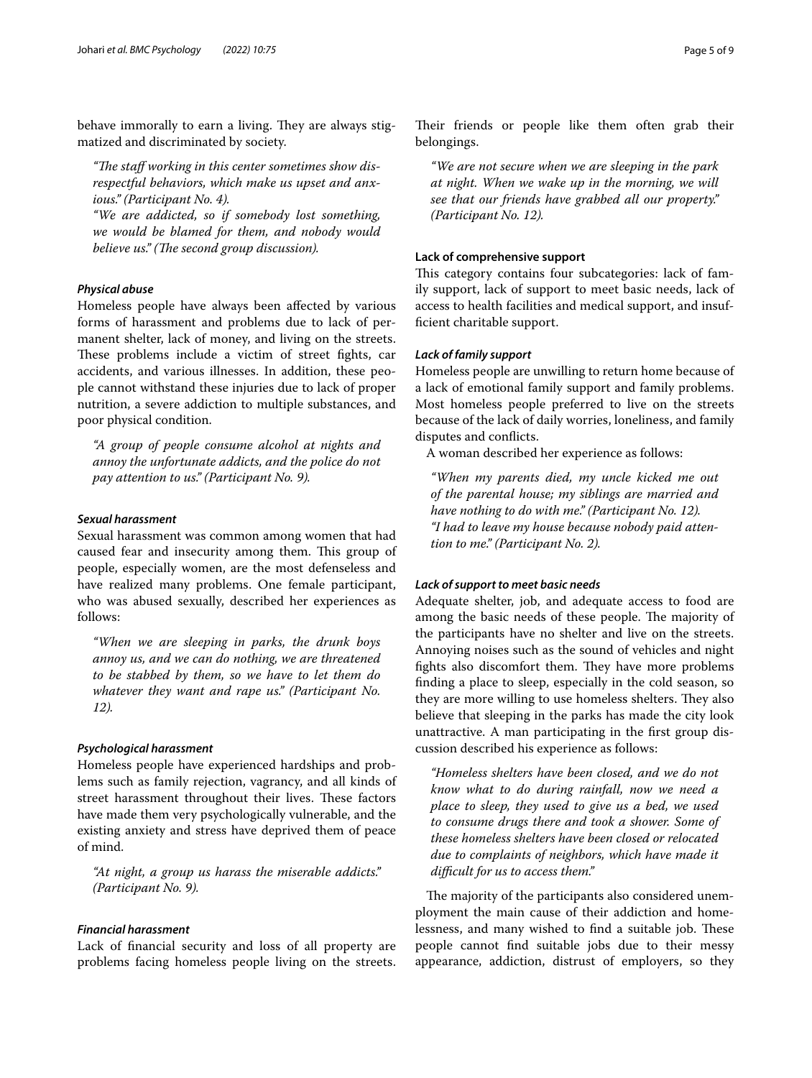behave immorally to earn a living. They are always stigmatized and discriminated by society.

"The staff working in this center sometimes show dis*respectful behaviors, which make us upset and anxious." (Participant No. 4).*

*"We are addicted, so if somebody lost something, we would be blamed for them, and nobody would believe us.*" (The second group discussion).

## *Physical abuse*

Homeless people have always been afected by various forms of harassment and problems due to lack of permanent shelter, lack of money, and living on the streets. These problems include a victim of street fights, car accidents, and various illnesses. In addition, these people cannot withstand these injuries due to lack of proper nutrition, a severe addiction to multiple substances, and poor physical condition.

*"A group of people consume alcohol at nights and annoy the unfortunate addicts, and the police do not pay attention to us." (Participant No. 9).*

## *Sexual harassment*

Sexual harassment was common among women that had caused fear and insecurity among them. This group of people, especially women, are the most defenseless and have realized many problems. One female participant, who was abused sexually, described her experiences as follows:

*"When we are sleeping in parks, the drunk boys annoy us, and we can do nothing, we are threatened to be stabbed by them, so we have to let them do whatever they want and rape us." (Participant No. 12).*

## *Psychological harassment*

Homeless people have experienced hardships and problems such as family rejection, vagrancy, and all kinds of street harassment throughout their lives. These factors have made them very psychologically vulnerable, and the existing anxiety and stress have deprived them of peace of mind.

*"At night, a group us harass the miserable addicts." (Participant No. 9).*

# *Financial harassment*

Lack of fnancial security and loss of all property are problems facing homeless people living on the streets.

Their friends or people like them often grab their belongings.

*"We are not secure when we are sleeping in the park at night. When we wake up in the morning, we will see that our friends have grabbed all our property." (Participant No. 12).*

#### **Lack of comprehensive support**

This category contains four subcategories: lack of family support, lack of support to meet basic needs, lack of access to health facilities and medical support, and insuffcient charitable support.

## *Lack of family support*

Homeless people are unwilling to return home because of a lack of emotional family support and family problems. Most homeless people preferred to live on the streets because of the lack of daily worries, loneliness, and family disputes and conficts.

A woman described her experience as follows:

*"When my parents died, my uncle kicked me out of the parental house; my siblings are married and have nothing to do with me." (Participant No. 12). "I had to leave my house because nobody paid attention to me." (Participant No. 2).*

#### *Lack of support to meet basic needs*

Adequate shelter, job, and adequate access to food are among the basic needs of these people. The majority of the participants have no shelter and live on the streets. Annoying noises such as the sound of vehicles and night fights also discomfort them. They have more problems fnding a place to sleep, especially in the cold season, so they are more willing to use homeless shelters. They also believe that sleeping in the parks has made the city look unattractive. A man participating in the frst group discussion described his experience as follows:

*"Homeless shelters have been closed, and we do not know what to do during rainfall, now we need a place to sleep, they used to give us a bed, we used to consume drugs there and took a shower. Some of these homeless shelters have been closed or relocated due to complaints of neighbors, which have made it difcult for us to access them."*

The majority of the participants also considered unemployment the main cause of their addiction and homelessness, and many wished to find a suitable job. These people cannot fnd suitable jobs due to their messy appearance, addiction, distrust of employers, so they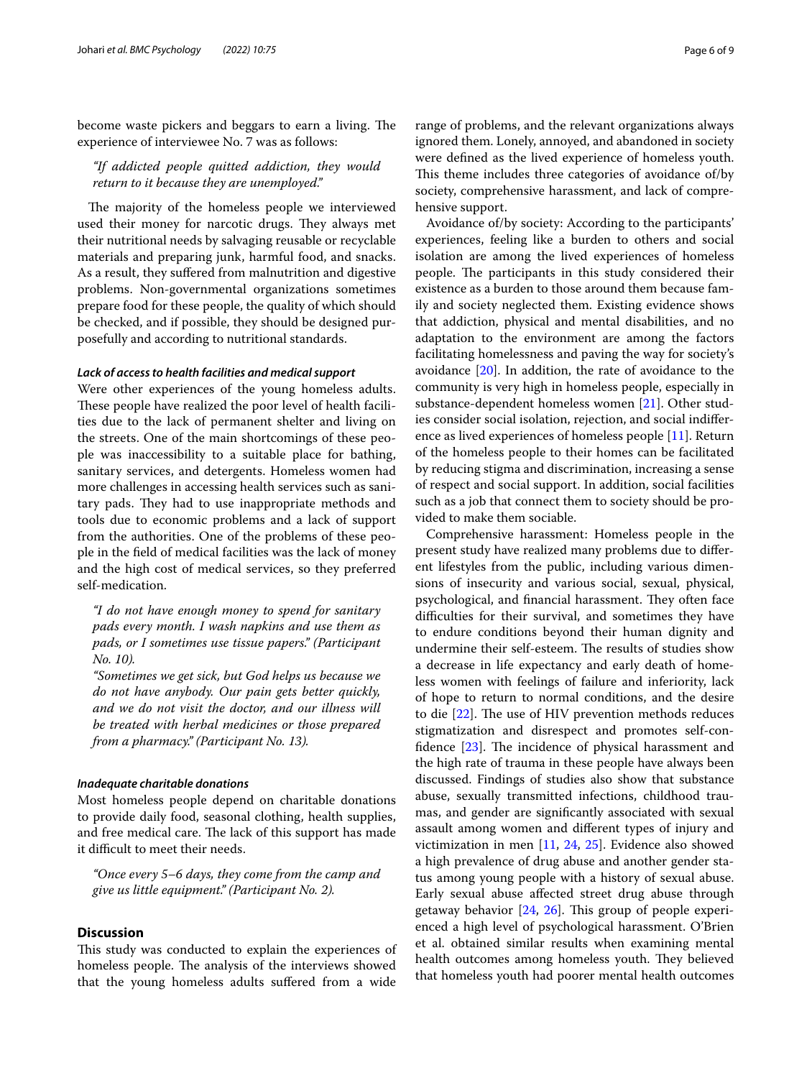become waste pickers and beggars to earn a living. The experience of interviewee No. 7 was as follows:

*"If addicted people quitted addiction, they would return to it because they are unemployed."*

The majority of the homeless people we interviewed used their money for narcotic drugs. They always met their nutritional needs by salvaging reusable or recyclable materials and preparing junk, harmful food, and snacks. As a result, they sufered from malnutrition and digestive problems. Non-governmental organizations sometimes prepare food for these people, the quality of which should be checked, and if possible, they should be designed purposefully and according to nutritional standards.

## *Lack of access to health facilities and medical support*

Were other experiences of the young homeless adults. These people have realized the poor level of health facilities due to the lack of permanent shelter and living on the streets. One of the main shortcomings of these people was inaccessibility to a suitable place for bathing, sanitary services, and detergents. Homeless women had more challenges in accessing health services such as sanitary pads. They had to use inappropriate methods and tools due to economic problems and a lack of support from the authorities. One of the problems of these people in the feld of medical facilities was the lack of money and the high cost of medical services, so they preferred self-medication.

*"I do not have enough money to spend for sanitary pads every month. I wash napkins and use them as pads, or I sometimes use tissue papers." (Participant No. 10).*

*"Sometimes we get sick, but God helps us because we do not have anybody. Our pain gets better quickly, and we do not visit the doctor, and our illness will be treated with herbal medicines or those prepared from a pharmacy." (Participant No. 13).*

## *Inadequate charitable donations*

Most homeless people depend on charitable donations to provide daily food, seasonal clothing, health supplies, and free medical care. The lack of this support has made it difficult to meet their needs.

*"Once every 5–6 days, they come from the camp and give us little equipment." (Participant No. 2).*

# **Discussion**

This study was conducted to explain the experiences of homeless people. The analysis of the interviews showed that the young homeless adults sufered from a wide

range of problems, and the relevant organizations always ignored them. Lonely, annoyed, and abandoned in society were defned as the lived experience of homeless youth. This theme includes three categories of avoidance of/by society, comprehensive harassment, and lack of comprehensive support.

Avoidance of/by society: According to the participants' experiences, feeling like a burden to others and social isolation are among the lived experiences of homeless people. The participants in this study considered their existence as a burden to those around them because family and society neglected them. Existing evidence shows that addiction, physical and mental disabilities, and no adaptation to the environment are among the factors facilitating homelessness and paving the way for society's avoidance [\[20\]](#page-8-5). In addition, the rate of avoidance to the community is very high in homeless people, especially in substance-dependent homeless women [[21\]](#page-8-6). Other studies consider social isolation, rejection, and social indiference as lived experiences of homeless people [[11](#page-7-10)]. Return of the homeless people to their homes can be facilitated by reducing stigma and discrimination, increasing a sense of respect and social support. In addition, social facilities such as a job that connect them to society should be provided to make them sociable.

Comprehensive harassment: Homeless people in the present study have realized many problems due to diferent lifestyles from the public, including various dimensions of insecurity and various social, sexual, physical, psychological, and financial harassment. They often face difculties for their survival, and sometimes they have to endure conditions beyond their human dignity and undermine their self-esteem. The results of studies show a decrease in life expectancy and early death of homeless women with feelings of failure and inferiority, lack of hope to return to normal conditions, and the desire to die  $[22]$  $[22]$ . The use of HIV prevention methods reduces stigmatization and disrespect and promotes self-confidence  $[23]$  $[23]$ . The incidence of physical harassment and the high rate of trauma in these people have always been discussed. Findings of studies also show that substance abuse, sexually transmitted infections, childhood traumas, and gender are signifcantly associated with sexual assault among women and diferent types of injury and victimization in men [\[11](#page-7-10), [24,](#page-8-9) [25](#page-8-10)]. Evidence also showed a high prevalence of drug abuse and another gender status among young people with a history of sexual abuse. Early sexual abuse afected street drug abuse through getaway behavior  $[24, 26]$  $[24, 26]$  $[24, 26]$ . This group of people experienced a high level of psychological harassment. O'Brien et al. obtained similar results when examining mental health outcomes among homeless youth. They believed that homeless youth had poorer mental health outcomes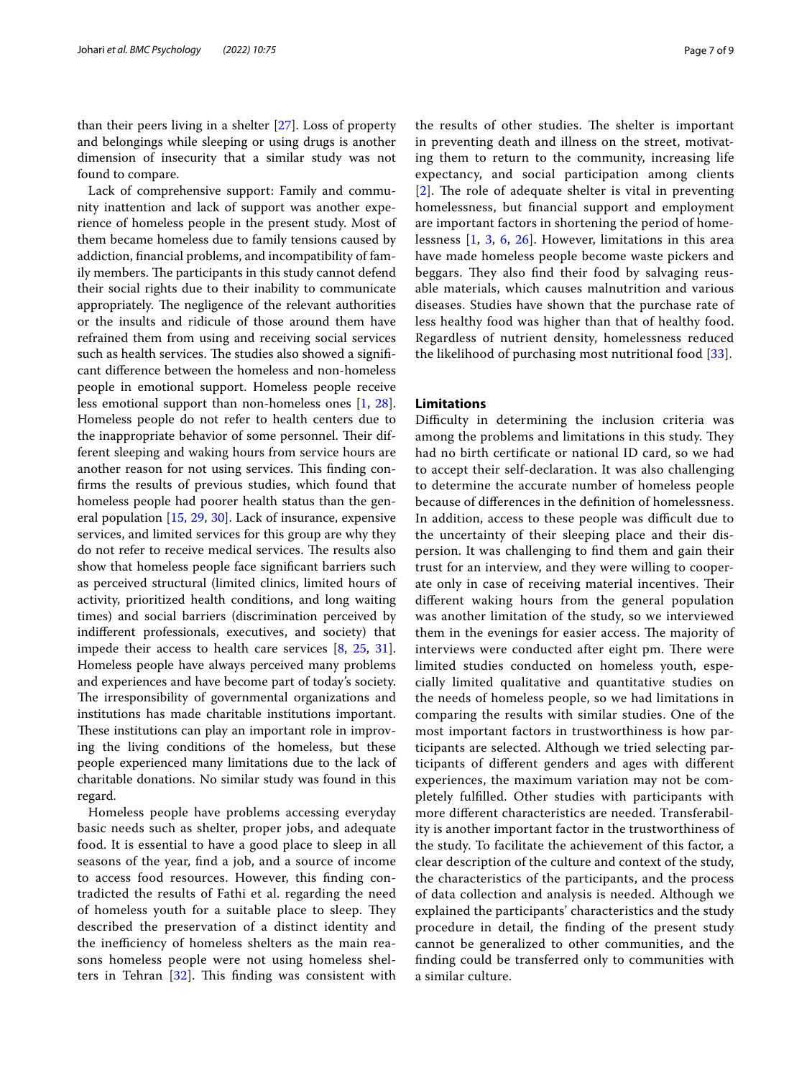than their peers living in a shelter [\[27\]](#page-8-12). Loss of property and belongings while sleeping or using drugs is another dimension of insecurity that a similar study was not found to compare.

Lack of comprehensive support: Family and community inattention and lack of support was another experience of homeless people in the present study. Most of them became homeless due to family tensions caused by addiction, fnancial problems, and incompatibility of family members. The participants in this study cannot defend their social rights due to their inability to communicate appropriately. The negligence of the relevant authorities or the insults and ridicule of those around them have refrained them from using and receiving social services such as health services. The studies also showed a significant diference between the homeless and non-homeless people in emotional support. Homeless people receive less emotional support than non-homeless ones [[1](#page-7-0), [28](#page-8-13)]. Homeless people do not refer to health centers due to the inappropriate behavior of some personnel. Their different sleeping and waking hours from service hours are another reason for not using services. This finding confrms the results of previous studies, which found that homeless people had poorer health status than the general population [\[15](#page-8-0), [29,](#page-8-14) [30\]](#page-8-15). Lack of insurance, expensive services, and limited services for this group are why they do not refer to receive medical services. The results also show that homeless people face signifcant barriers such as perceived structural (limited clinics, limited hours of activity, prioritized health conditions, and long waiting times) and social barriers (discrimination perceived by indiferent professionals, executives, and society) that impede their access to health care services [[8,](#page-7-7) [25,](#page-8-10) [31](#page-8-16)]. Homeless people have always perceived many problems and experiences and have become part of today's society. The irresponsibility of governmental organizations and institutions has made charitable institutions important. These institutions can play an important role in improving the living conditions of the homeless, but these people experienced many limitations due to the lack of charitable donations. No similar study was found in this regard.

Homeless people have problems accessing everyday basic needs such as shelter, proper jobs, and adequate food. It is essential to have a good place to sleep in all seasons of the year, fnd a job, and a source of income to access food resources. However, this fnding contradicted the results of Fathi et al. regarding the need of homeless youth for a suitable place to sleep. They described the preservation of a distinct identity and the inefficiency of homeless shelters as the main reasons homeless people were not using homeless shelters in Tehran  $[32]$ . This finding was consistent with the results of other studies. The shelter is important in preventing death and illness on the street, motivating them to return to the community, increasing life expectancy, and social participation among clients [[2](#page-7-1)]. The role of adequate shelter is vital in preventing homelessness, but fnancial support and employment are important factors in shortening the period of homelessness [[1](#page-7-0), [3](#page-7-2), [6](#page-7-5), [26](#page-8-11)]. However, limitations in this area have made homeless people become waste pickers and beggars. They also find their food by salvaging reusable materials, which causes malnutrition and various diseases. Studies have shown that the purchase rate of less healthy food was higher than that of healthy food. Regardless of nutrient density, homelessness reduced the likelihood of purchasing most nutritional food [\[33\]](#page-8-18).

#### **Limitations**

Difficulty in determining the inclusion criteria was among the problems and limitations in this study. They had no birth certifcate or national ID card, so we had to accept their self-declaration. It was also challenging to determine the accurate number of homeless people because of diferences in the defnition of homelessness. In addition, access to these people was difficult due to the uncertainty of their sleeping place and their dispersion. It was challenging to fnd them and gain their trust for an interview, and they were willing to cooperate only in case of receiving material incentives. Their diferent waking hours from the general population was another limitation of the study, so we interviewed them in the evenings for easier access. The majority of interviews were conducted after eight pm. There were limited studies conducted on homeless youth, especially limited qualitative and quantitative studies on the needs of homeless people, so we had limitations in comparing the results with similar studies. One of the most important factors in trustworthiness is how participants are selected. Although we tried selecting participants of diferent genders and ages with diferent experiences, the maximum variation may not be completely fulflled. Other studies with participants with more diferent characteristics are needed. Transferability is another important factor in the trustworthiness of the study. To facilitate the achievement of this factor, a clear description of the culture and context of the study, the characteristics of the participants, and the process of data collection and analysis is needed. Although we explained the participants' characteristics and the study procedure in detail, the fnding of the present study cannot be generalized to other communities, and the fnding could be transferred only to communities with a similar culture.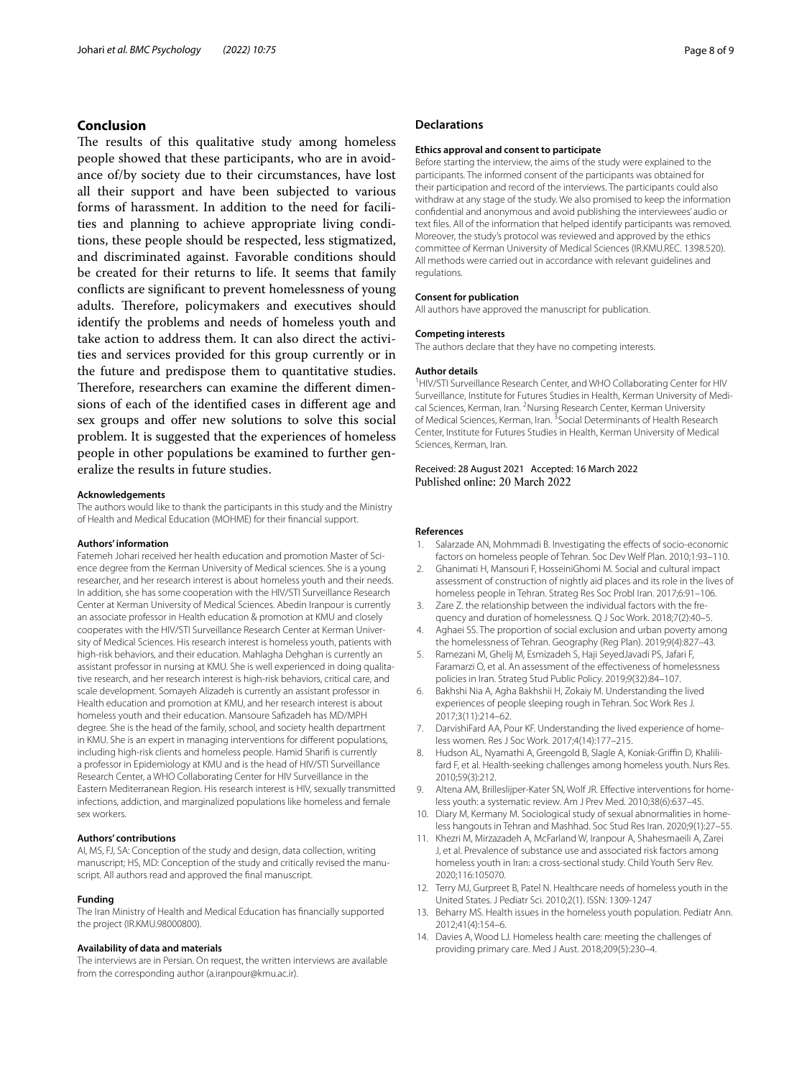## **Conclusion**

The results of this qualitative study among homeless people showed that these participants, who are in avoidance of/by society due to their circumstances, have lost all their support and have been subjected to various forms of harassment. In addition to the need for facilities and planning to achieve appropriate living conditions, these people should be respected, less stigmatized, and discriminated against. Favorable conditions should be created for their returns to life. It seems that family conficts are signifcant to prevent homelessness of young adults. Therefore, policymakers and executives should identify the problems and needs of homeless youth and take action to address them. It can also direct the activities and services provided for this group currently or in the future and predispose them to quantitative studies. Therefore, researchers can examine the different dimensions of each of the identifed cases in diferent age and sex groups and offer new solutions to solve this social problem. It is suggested that the experiences of homeless people in other populations be examined to further generalize the results in future studies.

#### **Acknowledgements**

The authors would like to thank the participants in this study and the Ministry of Health and Medical Education (MOHME) for their fnancial support.

#### **Authors' information**

Fatemeh Johari received her health education and promotion Master of Science degree from the Kerman University of Medical sciences. She is a young researcher, and her research interest is about homeless youth and their needs. In addition, she has some cooperation with the HIV/STI Surveillance Research Center at Kerman University of Medical Sciences. Abedin Iranpour is currently an associate professor in Health education & promotion at KMU and closely cooperates with the HIV/STI Surveillance Research Center at Kerman University of Medical Sciences. His research interest is homeless youth, patients with high-risk behaviors, and their education. Mahlagha Dehghan is currently an assistant professor in nursing at KMU. She is well experienced in doing qualitative research, and her research interest is high-risk behaviors, critical care, and scale development. Somayeh Alizadeh is currently an assistant professor in Health education and promotion at KMU, and her research interest is about homeless youth and their education. Mansoure Safzadeh has MD/MPH degree. She is the head of the family, school, and society health department in KMU. She is an expert in managing interventions for diferent populations, including high-risk clients and homeless people. Hamid Sharif is currently a professor in Epidemiology at KMU and is the head of HIV/STI Surveillance Research Center, a WHO Collaborating Center for HIV Surveillance in the Eastern Mediterranean Region. His research interest is HIV, sexually transmitted infections, addiction, and marginalized populations like homeless and female sex workers.

## **Authors' contributions**

AI, MS, FJ, SA: Conception of the study and design, data collection, writing manuscript; HS, MD: Conception of the study and critically revised the manuscript. All authors read and approved the fnal manuscript.

#### **Funding**

The Iran Ministry of Health and Medical Education has fnancially supported the project (IR.KMU.98000800).

#### **Availability of data and materials**

The interviews are in Persian. On request, the written interviews are available from the corresponding author (a.iranpour@kmu.ac.ir).

#### **Declarations**

#### **Ethics approval and consent to participate**

Before starting the interview, the aims of the study were explained to the participants. The informed consent of the participants was obtained for their participation and record of the interviews. The participants could also withdraw at any stage of the study. We also promised to keep the information confdential and anonymous and avoid publishing the interviewees' audio or text fles. All of the information that helped identify participants was removed. Moreover, the study's protocol was reviewed and approved by the ethics committee of Kerman University of Medical Sciences (IR.KMU.REC. 1398.520). All methods were carried out in accordance with relevant guidelines and regulations.

#### **Consent for publication**

All authors have approved the manuscript for publication.

#### **Competing interests**

The authors declare that they have no competing interests.

#### **Author details**

<sup>1</sup> HIV/STI Surveillance Research Center, and WHO Collaborating Center for HIV Surveillance, Institute for Futures Studies in Health, Kerman University of Medical Sciences, Kerman, Iran. <sup>2</sup>Nursing Research Center, Kerman University of Medical Sciences, Kerman, Iran. <sup>3</sup> Social Determinants of Health Research Center, Institute for Futures Studies in Health, Kerman University of Medical Sciences, Kerman, Iran.

#### Received: 28 August 2021 Accepted: 16 March 2022 Published online: 20 March 2022

#### **References**

- <span id="page-7-0"></span>Salarzade AN, Mohmmadi B. Investigating the effects of socio-economic factors on homeless people of Tehran. Soc Dev Welf Plan. 2010;1:93–110.
- <span id="page-7-1"></span>2. Ghanimati H, Mansouri F, HosseiniGhomi M. Social and cultural impact assessment of construction of nightly aid places and its role in the lives of homeless people in Tehran. Strateg Res Soc Probl Iran. 2017;6:91–106.
- <span id="page-7-2"></span>3. Zare Z. the relationship between the individual factors with the frequency and duration of homelessness. Q J Soc Work. 2018;7(2):40–5.
- <span id="page-7-3"></span>4. Aghaei SS. The proportion of social exclusion and urban poverty among the homelessness of Tehran. Geography (Reg Plan). 2019;9(4):827–43.
- <span id="page-7-4"></span>5. Ramezani M, Ghelij M, Esmizadeh S, Haji SeyedJavadi PS, Jafari F, Faramarzi O, et al. An assessment of the effectiveness of homelessness policies in Iran. Strateg Stud Public Policy. 2019;9(32):84–107.
- <span id="page-7-5"></span>6. Bakhshi Nia A, Agha Bakhshii H, Zokaiy M. Understanding the lived experiences of people sleeping rough in Tehran. Soc Work Res J. 2017;3(11):214–62.
- <span id="page-7-6"></span>7. DarvishiFard AA, Pour KF. Understanding the lived experience of homeless women. Res J Soc Work. 2017;4(14):177–215.
- <span id="page-7-7"></span>8. Hudson AL, Nyamathi A, Greengold B, Slagle A, Koniak-Griffin D, Khalilifard F, et al. Health-seeking challenges among homeless youth. Nurs Res. 2010;59(3):212.
- <span id="page-7-8"></span>9. Altena AM, Brilleslijper-Kater SN, Wolf JR. Effective interventions for homeless youth: a systematic review. Am J Prev Med. 2010;38(6):637–45.
- <span id="page-7-9"></span>10. Diary M, Kermany M. Sociological study of sexual abnormalities in homeless hangouts in Tehran and Mashhad. Soc Stud Res Iran. 2020;9(1):27–55.
- <span id="page-7-10"></span>11. Khezri M, Mirzazadeh A, McFarland W, Iranpour A, Shahesmaeili A, Zarei J, et al. Prevalence of substance use and associated risk factors among homeless youth in Iran: a cross-sectional study. Child Youth Serv Rev. 2020;116:105070.
- <span id="page-7-11"></span>12. Terry MJ, Gurpreet B, Patel N. Healthcare needs of homeless youth in the United States. J Pediatr Sci. 2010;2(1). ISSN: 1309-1247
- <span id="page-7-13"></span>13. Beharry MS. Health issues in the homeless youth population. Pediatr Ann. 2012;41(4):154–6.
- <span id="page-7-12"></span>14. Davies A, Wood LJ. Homeless health care: meeting the challenges of providing primary care. Med J Aust. 2018;209(5):230–4.